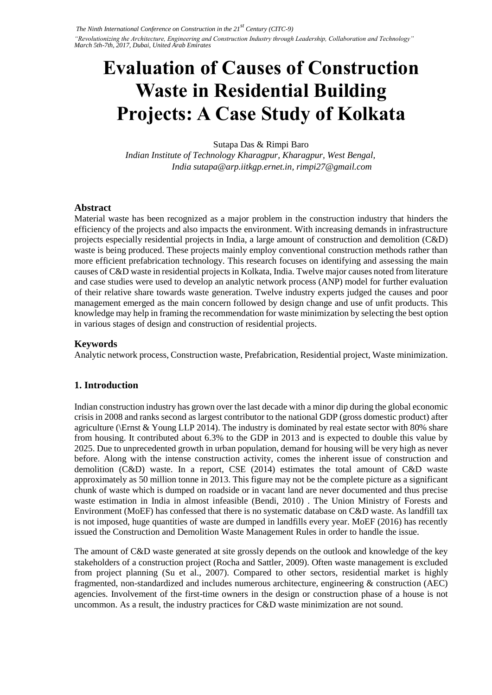# **Evaluation of Causes of Construction Waste in Residential Building Projects: A Case Study of Kolkata**

Sutapa Das & Rimpi Baro *Indian Institute of Technology Kharagpur, Kharagpur, West Bengal, India sutapa@arp.iitkgp.ernet.in, rimpi27@gmail.com* 

# **Abstract**

Material waste has been recognized as a major problem in the construction industry that hinders the efficiency of the projects and also impacts the environment. With increasing demands in infrastructure projects especially residential projects in India, a large amount of construction and demolition (C&D) waste is being produced. These projects mainly employ conventional construction methods rather than more efficient prefabrication technology. This research focuses on identifying and assessing the main causes of C&D waste in residential projects in Kolkata, India. Twelve major causes noted from literature and case studies were used to develop an analytic network process (ANP) model for further evaluation of their relative share towards waste generation. Twelve industry experts judged the causes and poor management emerged as the main concern followed by design change and use of unfit products. This knowledge may help in framing the recommendation for waste minimization by selecting the best option in various stages of design and construction of residential projects.

# **Keywords**

Analytic network process, Construction waste, Prefabrication, Residential project, Waste minimization.

# **1. Introduction**

Indian construction industry has grown over the last decade with a minor dip during the global economic crisis in 2008 and ranks second as largest contributor to the national GDP (gross domestic product) after agriculture (\Ernst & Young LLP 2014). The industry is dominated by real estate sector with 80% share from housing. It contributed about 6.3% to the GDP in 2013 and is expected to double this value by 2025. Due to unprecedented growth in urban population, demand for housing will be very high as never before. Along with the intense construction activity, comes the inherent issue of construction and demolition (C&D) waste. In a report, CSE (2014) estimates the total amount of C&D waste approximately as 50 million tonne in 2013. This figure may not be the complete picture as a significant chunk of waste which is dumped on roadside or in vacant land are never documented and thus precise waste estimation in India in almost infeasible (Bendi, 2010) . The Union Ministry of Forests and Environment (MoEF) has confessed that there is no systematic database on C&D waste. As landfill tax is not imposed, huge quantities of waste are dumped in landfills every year. MoEF (2016) has recently issued the Construction and Demolition Waste Management Rules in order to handle the issue.

The amount of C&D waste generated at site grossly depends on the outlook and knowledge of the key stakeholders of a construction project (Rocha and Sattler, 2009). Often waste management is excluded from project planning (Su et al., 2007). Compared to other sectors, residential market is highly fragmented, non-standardized and includes numerous architecture, engineering & construction (AEC) agencies. Involvement of the first-time owners in the design or construction phase of a house is not uncommon. As a result, the industry practices for C&D waste minimization are not sound.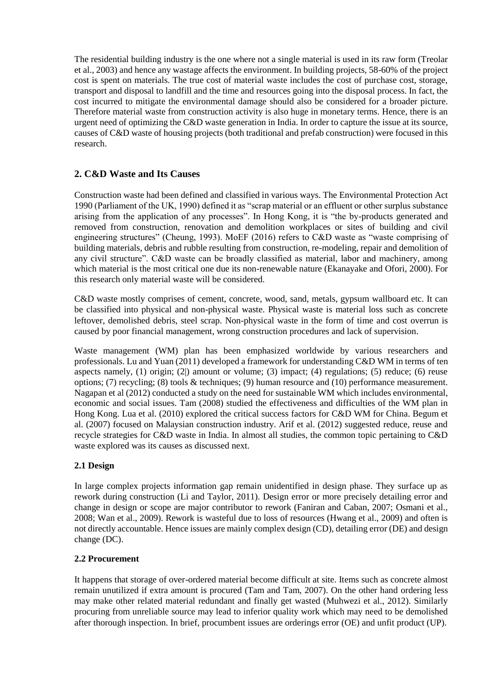The residential building industry is the one where not a single material is used in its raw form (Treolar et al., 2003) and hence any wastage affects the environment. In building projects, 58-60% of the project cost is spent on materials. The true cost of material waste includes the cost of purchase cost, storage, transport and disposal to landfill and the time and resources going into the disposal process. In fact, the cost incurred to mitigate the environmental damage should also be considered for a broader picture. Therefore material waste from construction activity is also huge in monetary terms. Hence, there is an urgent need of optimizing the C&D waste generation in India. In order to capture the issue at its source, causes of C&D waste of housing projects (both traditional and prefab construction) were focused in this research.

# **2. C&D Waste and Its Causes**

Construction waste had been defined and classified in various ways. The Environmental Protection Act 1990 (Parliament of the UK, 1990) defined it as "scrap material or an effluent or other surplus substance arising from the application of any processes". In Hong Kong, it is "the by-products generated and removed from construction, renovation and demolition workplaces or sites of building and civil engineering structures" (Cheung, 1993). MoEF (2016) refers to C&D waste as "waste comprising of building materials, debris and rubble resulting from construction, re-modeling, repair and demolition of any civil structure". C&D waste can be broadly classified as material, labor and machinery, among which material is the most critical one due its non-renewable nature (Ekanayake and Ofori, 2000). For this research only material waste will be considered.

C&D waste mostly comprises of cement, concrete, wood, sand, metals, gypsum wallboard etc. It can be classified into physical and non-physical waste. Physical waste is material loss such as concrete leftover, demolished debris, steel scrap. Non-physical waste in the form of time and cost overrun is caused by poor financial management, wrong construction procedures and lack of supervision.

Waste management (WM) plan has been emphasized worldwide by various researchers and professionals. Lu and Yuan (2011) developed a framework for understanding C&D WM in terms of ten aspects namely, (1) origin; (2|) amount or volume; (3) impact; (4) regulations; (5) reduce; (6) reuse options; (7) recycling; (8) tools & techniques; (9) human resource and (10) performance measurement. Nagapan et al (2012) conducted a study on the need for sustainable WM which includes environmental, economic and social issues. Tam (2008) studied the effectiveness and difficulties of the WM plan in Hong Kong. Lua et al. (2010) explored the critical success factors for C&D WM for China. Begum et al. (2007) focused on Malaysian construction industry. Arif et al. (2012) suggested reduce, reuse and recycle strategies for C&D waste in India. In almost all studies, the common topic pertaining to C&D waste explored was its causes as discussed next.

# **2.1 Design**

In large complex projects information gap remain unidentified in design phase. They surface up as rework during construction (Li and Taylor, 2011). Design error or more precisely detailing error and change in design or scope are major contributor to rework (Faniran and Caban, 2007; Osmani et al., 2008; Wan et al., 2009). Rework is wasteful due to loss of resources (Hwang et al., 2009) and often is not directly accountable. Hence issues are mainly complex design (CD), detailing error (DE) and design change (DC).

#### **2.2 Procurement**

It happens that storage of over-ordered material become difficult at site. Items such as concrete almost remain unutilized if extra amount is procured (Tam and Tam, 2007). On the other hand ordering less may make other related material redundant and finally get wasted (Muhwezi et al., 2012). Similarly procuring from unreliable source may lead to inferior quality work which may need to be demolished after thorough inspection. In brief, procumbent issues are orderings error (OE) and unfit product (UP).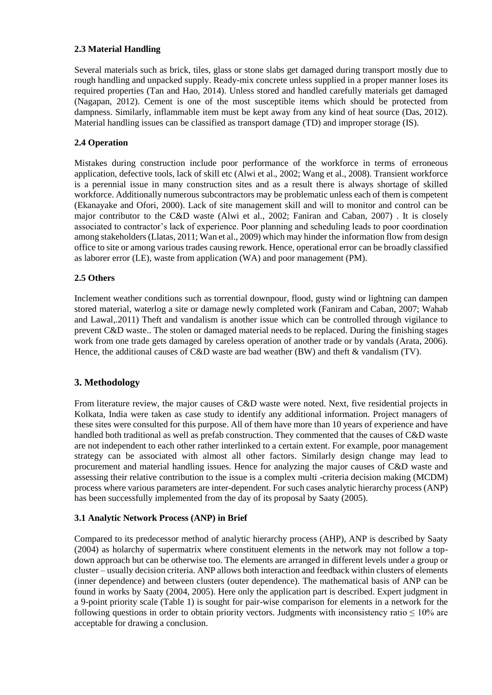#### **2.3 Material Handling**

Several materials such as brick, tiles, glass or stone slabs get damaged during transport mostly due to rough handling and unpacked supply. Ready-mix concrete unless supplied in a proper manner loses its required properties (Tan and Hao, 2014). Unless stored and handled carefully materials get damaged (Nagapan, 2012). Cement is one of the most susceptible items which should be protected from dampness. Similarly, inflammable item must be kept away from any kind of heat source (Das, 2012). Material handling issues can be classified as transport damage (TD) and improper storage (IS).

# **2.4 Operation**

Mistakes during construction include poor performance of the workforce in terms of erroneous application, defective tools, lack of skill etc (Alwi et al., 2002; Wang et al., 2008). Transient workforce is a perennial issue in many construction sites and as a result there is always shortage of skilled workforce. Additionally numerous subcontractors may be problematic unless each of them is competent (Ekanayake and Ofori, 2000). Lack of site management skill and will to monitor and control can be major contributor to the C&D waste (Alwi et al., 2002; Faniran and Caban, 2007) . It is closely associated to contractor's lack of experience. Poor planning and scheduling leads to poor coordination among stakeholders (Llatas, 2011; Wan et al., 2009) which may hinder the information flow from design office to site or among various trades causing rework. Hence, operational error can be broadly classified as laborer error (LE), waste from application (WA) and poor management (PM).

#### **2.5 Others**

Inclement weather conditions such as torrential downpour, flood, gusty wind or lightning can dampen stored material, waterlog a site or damage newly completed work (Faniram and Caban, 2007; Wahab and Lawal,.2011) Theft and vandalism is another issue which can be controlled through vigilance to prevent C&D waste.. The stolen or damaged material needs to be replaced. During the finishing stages work from one trade gets damaged by careless operation of another trade or by vandals (Arata, 2006). Hence, the additional causes of C&D waste are bad weather (BW) and theft & vandalism (TV).

# **3. Methodology**

From literature review, the major causes of C&D waste were noted. Next, five residential projects in Kolkata, India were taken as case study to identify any additional information. Project managers of these sites were consulted for this purpose. All of them have more than 10 years of experience and have handled both traditional as well as prefab construction. They commented that the causes of C&D waste are not independent to each other rather interlinked to a certain extent. For example, poor management strategy can be associated with almost all other factors. Similarly design change may lead to procurement and material handling issues. Hence for analyzing the major causes of C&D waste and assessing their relative contribution to the issue is a complex multi -criteria decision making (MCDM) process where various parameters are inter-dependent. For such cases analytic hierarchy process (ANP) has been successfully implemented from the day of its proposal by Saaty (2005).

#### **3.1 Analytic Network Process (ANP) in Brief**

Compared to its predecessor method of analytic hierarchy process (AHP), ANP is described by Saaty (2004) as holarchy of supermatrix where constituent elements in the network may not follow a topdown approach but can be otherwise too. The elements are arranged in different levels under a group or cluster – usually decision criteria. ANP allows both interaction and feedback within clusters of elements (inner dependence) and between clusters (outer dependence). The mathematical basis of ANP can be found in works by Saaty (2004, 2005). Here only the application part is described. Expert judgment in a 9-point priority scale (Table 1) is sought for pair-wise comparison for elements in a network for the following questions in order to obtain priority vectors. Judgments with inconsistency ratio  $\leq 10\%$  are acceptable for drawing a conclusion.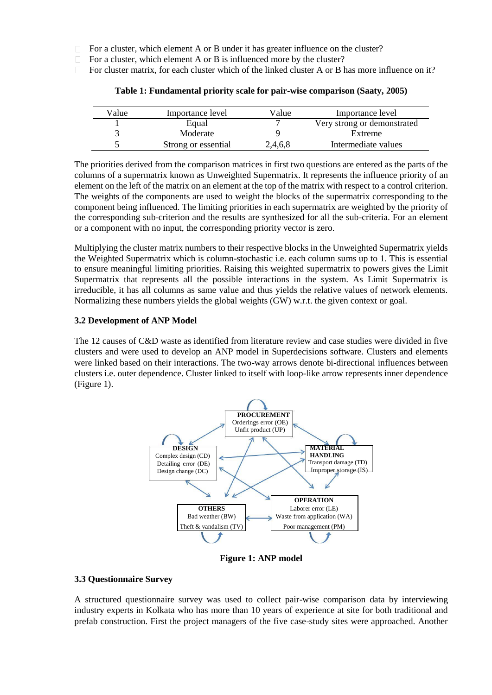- $\Box$  For a cluster, which element A or B under it has greater influence on the cluster?
- $\Box$  For a cluster, which element A or B is influenced more by the cluster?
- For cluster matrix, for each cluster which of the linked cluster A or B has more influence on it?

| Value | Importance level    | Value   | Importance level            |
|-------|---------------------|---------|-----------------------------|
|       | Equal               |         | Very strong or demonstrated |
|       | Moderate            |         | Extreme                     |
|       | Strong or essential | 2,4,6,8 | Intermediate values         |

**Table 1: Fundamental priority scale for pair-wise comparison (Saaty, 2005)**

The priorities derived from the comparison matrices in first two questions are entered as the parts of the columns of a supermatrix known as Unweighted Supermatrix. It represents the influence priority of an element on the left of the matrix on an element at the top of the matrix with respect to a control criterion. The weights of the components are used to weight the blocks of the supermatrix corresponding to the component being influenced. The limiting priorities in each supermatrix are weighted by the priority of the corresponding sub-criterion and the results are synthesized for all the sub-criteria. For an element or a component with no input, the corresponding priority vector is zero.

Multiplying the cluster matrix numbers to their respective blocks in the Unweighted Supermatrix yields the Weighted Supermatrix which is column-stochastic i.e. each column sums up to 1. This is essential to ensure meaningful limiting priorities. Raising this weighted supermatrix to powers gives the Limit Supermatrix that represents all the possible interactions in the system. As Limit Supermatrix is irreducible, it has all columns as same value and thus yields the relative values of network elements. Normalizing these numbers yields the global weights (GW) w.r.t. the given context or goal.

#### **3.2 Development of ANP Model**

The 12 causes of C&D waste as identified from literature review and case studies were divided in five clusters and were used to develop an ANP model in Superdecisions software. Clusters and elements were linked based on their interactions. The two-way arrows denote bi-directional influences between clusters i.e. outer dependence. Cluster linked to itself with loop-like arrow represents inner dependence (Figure 1).



**Figure 1: ANP model**

#### **3.3 Questionnaire Survey**

A structured questionnaire survey was used to collect pair-wise comparison data by interviewing industry experts in Kolkata who has more than 10 years of experience at site for both traditional and prefab construction. First the project managers of the five case-study sites were approached. Another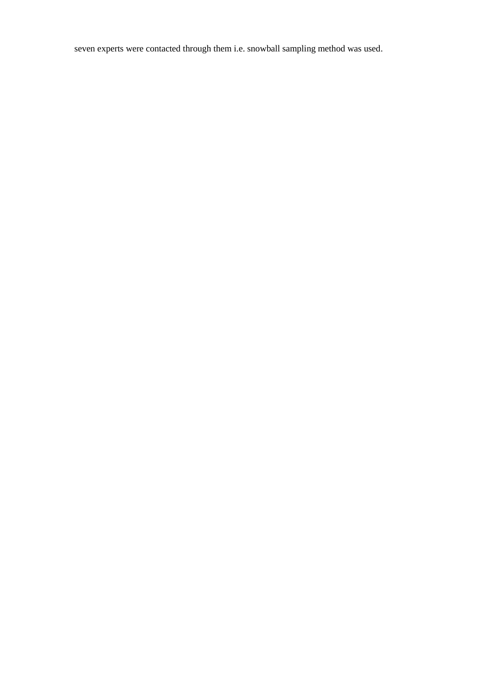seven experts were contacted through them i.e. snowball sampling method was used.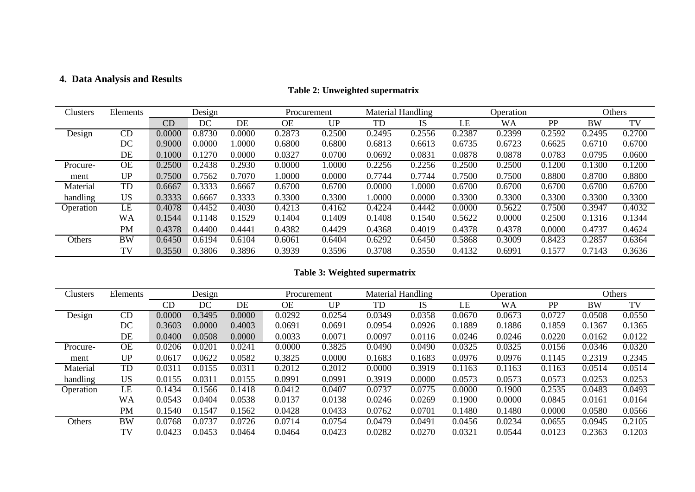# **4. Data Analysis and Results**

| Clusters  | Elements  | Design |        | Procurement |        | Material Handling |        | Operation |        |        | Others    |           |        |
|-----------|-----------|--------|--------|-------------|--------|-------------------|--------|-----------|--------|--------|-----------|-----------|--------|
|           |           | CD     | DC     | DE          | ΟE     | <b>UP</b>         | TD     | IS        | LE     | WA     | <b>PP</b> | <b>BW</b> | TV     |
| Design    | CD        | 0.0000 | 0.8730 | 0.0000      | 0.2873 | 0.2500            | 0.2495 | 0.2556    | 0.2387 | 0.2399 | 0.2592    | 0.2495    | 0.2700 |
|           | DC        | 0.9000 | 0.0000 | .0000       | 0.6800 | 0.6800            | 0.6813 | 0.6613    | 0.6735 | 0.6723 | 0.6625    | 0.6710    | 0.6700 |
|           | DE        | 0.1000 | 0.1270 | 0.0000      | 0.0327 | 0.0700            | 0.0692 | 0.0831    | 0.0878 | 0.0878 | 0.0783    | 0.0795    | 0.0600 |
| Procure-  | OE        | 0.2500 | 0.2438 | 0.2930      | 0.0000 | 1.0000            | 0.2256 | 0.2256    | 0.2500 | 0.2500 | 0.1200    | 0.1300    | 0.1200 |
| ment      | <b>UP</b> | 0.7500 | 0.7562 | 0.7070      | 0000.1 | 0.0000            | 0.7744 | 0.7744    | 0.7500 | 0.7500 | 0.8800    | 0.8700    | 0.8800 |
| Material  | TD        | 0.6667 | 0.3333 | 0.6667      | 0.6700 | 0.6700            | 0.0000 | .0000     | 0.6700 | 0.6700 | 0.6700    | 0.6700    | 0.6700 |
| handling  | <b>US</b> | 0.3333 | 0.6667 | 0.3333      | 0.3300 | 0.3300            | 1.0000 | 0.0000    | 0.3300 | 0.3300 | 0.3300    | 0.3300    | 0.3300 |
| Operation | LE        | 0.4078 | 0.4452 | 0.4030      | 0.4213 | 0.4162            | 0.4224 | 0.4442    | 0.0000 | 0.5622 | 0.7500    | 0.3947    | 0.4032 |
|           | <b>WA</b> | 0.1544 | 0.1148 | 0.1529      | 0.1404 | 0.1409            | 0.1408 | 0.1540    | 0.5622 | 0.0000 | 0.2500    | 0.1316    | 0.1344 |
|           | <b>PM</b> | 0.4378 | 0.4400 | 0.4441      | 0.4382 | 0.4429            | 0.4368 | 0.4019    | 0.4378 | 0.4378 | 0.0000    | 0.4737    | 0.4624 |
| Others    | <b>BW</b> | 0.6450 | 0.6194 | 0.6104      | 0.6061 | 0.6404            | 0.6292 | 0.6450    | 0.5868 | 0.3009 | 0.8423    | 0.2857    | 0.6364 |
|           | TV        | 0.3550 | 0.3806 | 0.3896      | 0.3939 | 0.3596            | 0.3708 | 0.3550    | 0.4132 | 0.6991 | 0.1577    | 0.7143    | 0.3636 |

# **Table 2: Unweighted supermatrix**

# **Table 3: Weighted supermatrix**

| Clusters  | Elements  | Design    |        | Procurement |        | Material Handling |        | Operation |        |        | Others |           |        |
|-----------|-----------|-----------|--------|-------------|--------|-------------------|--------|-----------|--------|--------|--------|-----------|--------|
|           |           | <b>CD</b> | DC     | DE          | OΕ     | UP                | TD     | IS        | ĹΕ     | WA     | PP     | <b>BW</b> | TV     |
| Design    | CD        | 0.0000    | 0.3495 | 0.0000      | 0.0292 | 0.0254            | 0.0349 | 0.0358    | 0.0670 | 0.0673 | 0.0727 | 0.0508    | 0.0550 |
|           | DC        | 0.3603    | 0.0000 | 0.4003      | 0.0691 | 0.0691            | 0.0954 | 0.0926    | 0.1889 | 0.1886 | 0.1859 | 0.1367    | 0.1365 |
|           | DE        | 0.0400    | 0.0508 | 0.0000      | 0.0033 | 0.0071            | 0.0097 | 0.0116    | 0.0246 | 0.0246 | 0.0220 | 0.0162    | 0.0122 |
| Procure-  | <b>OE</b> | 0.0206    | 0.0201 | 0.0241      | 0.0000 | 0.3825            | 0.0490 | 0.0490    | 0.0325 | 0.0325 | 0.0156 | 0.0346    | 0.0320 |
| ment      | <b>UP</b> | 0.0617    | 0.0622 | 0.0582      | 0.3825 | 0.0000            | 0.1683 | 0.1683    | 0.0976 | 0.0976 | 0.1145 | 0.2319    | 0.2345 |
| Material  | TD        | 0.0311    | 0.0155 | 0.0311      | 0.2012 | 0.2012            | 0.0000 | 0.3919    | 0.1163 | 0.1163 | 0.1163 | 0.0514    | 0.0514 |
| handling  | <b>US</b> | 0.0155    | 0.0311 | 0.0155      | 0.0991 | 0.0991            | 0.3919 | 0.0000    | 0.0573 | 0.0573 | 0.0573 | 0.0253    | 0.0253 |
| Operation | LE        | 0.1434    | .1566  | 0.1418      | 0.0412 | 0.0407            | 0.0737 | 0.0775    | 0.0000 | 0.1900 | 0.2535 | 0.0483    | 0.0493 |
|           | WA        | 0.0543    | 0.0404 | 0.0538      | 0.0137 | 0.0138            | 0.0246 | 0.0269    | 0.1900 | 0.0000 | 0.0845 | 0.0161    | 0.0164 |
|           | <b>PM</b> | 0.1540    | 0.1547 | 0.1562      | 0.0428 | 0.0433            | 0.0762 | 0.0701    | 0.1480 | 0.1480 | 0.0000 | 0.0580    | 0.0566 |
| Others    | <b>BW</b> | 0.0768    | 0.0737 | 0.0726      | 0.0714 | 0.0754            | 0.0479 | 0.0491    | 0.0456 | 0.0234 | 0.0655 | 0.0945    | 0.2105 |
|           | TV        | 0.0423    | 0.0453 | 0.0464      | 0.0464 | 0.0423            | 0.0282 | 0.0270    | 0.0321 | 0.0544 | 0.0123 | 0.2363    | 0.1203 |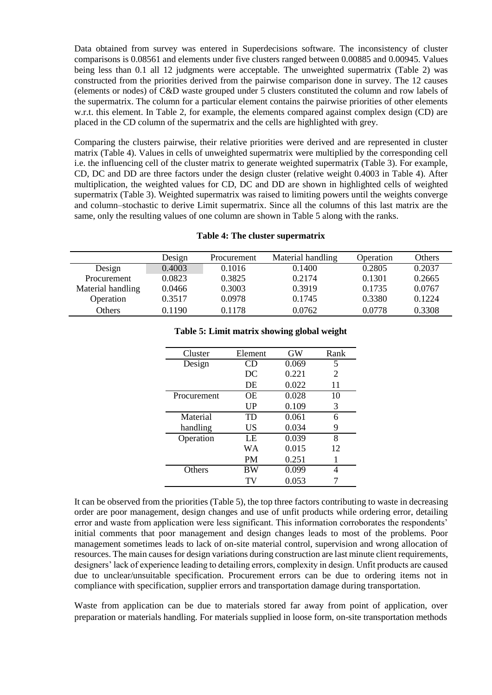Data obtained from survey was entered in Superdecisions software. The inconsistency of cluster comparisons is 0.08561 and elements under five clusters ranged between 0.00885 and 0.00945. Values being less than 0.1 all 12 judgments were acceptable. The unweighted supermatrix (Table 2) was constructed from the priorities derived from the pairwise comparison done in survey. The 12 causes (elements or nodes) of C&D waste grouped under 5 clusters constituted the column and row labels of the supermatrix. The column for a particular element contains the pairwise priorities of other elements w.r.t. this element. In Table 2, for example, the elements compared against complex design (CD) are placed in the CD column of the supermatrix and the cells are highlighted with grey.

Comparing the clusters pairwise, their relative priorities were derived and are represented in cluster matrix (Table 4). Values in cells of unweighted supermatrix were multiplied by the corresponding cell i.e. the influencing cell of the cluster matrix to generate weighted supermatrix (Table 3). For example, CD, DC and DD are three factors under the design cluster (relative weight 0.4003 in Table 4). After multiplication, the weighted values for CD, DC and DD are shown in highlighted cells of weighted supermatrix (Table 3). Weighted supermatrix was raised to limiting powers until the weights converge and column–stochastic to derive Limit supermatrix. Since all the columns of this last matrix are the same, only the resulting values of one column are shown in Table 5 along with the ranks.

|                   | Design | Procurement | Material handling | Operation | Others |
|-------------------|--------|-------------|-------------------|-----------|--------|
| Design            | 0.4003 | 0.1016      | 0.1400            | 0.2805    | 0.2037 |
| Procurement       | 0.0823 | 0.3825      | 0.2174            | 0.1301    | 0.2665 |
| Material handling | 0.0466 | 0.3003      | 0.3919            | 0.1735    | 0.0767 |
| Operation         | 0.3517 | 0.0978      | 0.1745            | 0.3380    | 0.1224 |
| Others            | 0.1190 | 0.1178      | 0.0762            | 0.0778    | 0.3308 |

#### **Table 4: The cluster supermatrix**

| Cluster     | Element   | <b>GW</b> | Rank |
|-------------|-----------|-----------|------|
| Design      | ∩ר        | 0.069     | 5    |
|             | DC        | 0.221     | 2    |
|             | DE        | 0.022     | 11   |
| Procurement | OΕ        | 0.028     | 10   |
|             | UP        | 0.109     | 3    |
| Material    | TD        | 0.061     | 6    |
| handling    | <b>US</b> | 0.034     | 9    |
| Operation   | LE        | 0.039     | 8    |
|             | WА        | 0.015     | 12   |
|             | PM        | 0.251     |      |
| Others      | ВW        | 0.099     | 4    |
|             | TV        | 0.053     |      |

# **Table 5: Limit matrix showing global weight**

It can be observed from the priorities (Table 5), the top three factors contributing to waste in decreasing order are poor management, design changes and use of unfit products while ordering error, detailing error and waste from application were less significant. This information corroborates the respondents' initial comments that poor management and design changes leads to most of the problems. Poor management sometimes leads to lack of on-site material control, supervision and wrong allocation of resources. The main causes for design variations during construction are last minute client requirements, designers' lack of experience leading to detailing errors, complexity in design. Unfit products are caused due to unclear/unsuitable specification. Procurement errors can be due to ordering items not in compliance with specification, supplier errors and transportation damage during transportation.

Waste from application can be due to materials stored far away from point of application, over preparation or materials handling. For materials supplied in loose form, on-site transportation methods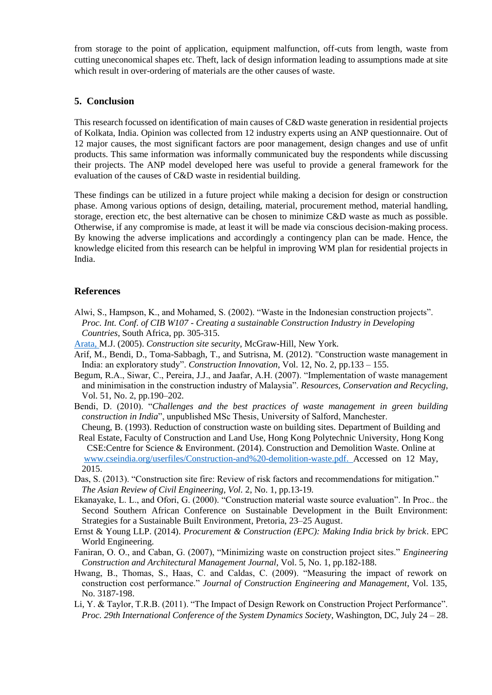from storage to the point of application, equipment malfunction, off-cuts from length, waste from cutting uneconomical shapes etc. Theft, lack of design information leading to assumptions made at site which result in over-ordering of materials are the other causes of waste.

#### **5. Conclusion**

This research focussed on identification of main causes of C&D waste generation in residential projects of Kolkata, India. Opinion was collected from 12 industry experts using an ANP questionnaire. Out of 12 major causes, the most significant factors are poor management, design changes and use of unfit products. This same information was informally communicated buy the respondents while discussing their projects. The ANP model developed here was useful to provide a general framework for the evaluation of the causes of C&D waste in residential building.

These findings can be utilized in a future project while making a decision for design or construction phase. Among various options of design, detailing, material, procurement method, material handling, storage, erection etc, the best alternative can be chosen to minimize C&D waste as much as possible. Otherwise, if any compromise is made, at least it will be made via conscious decision-making process. By knowing the adverse implications and accordingly a contingency plan can be made. Hence, the knowledge elicited from this research can be helpful in improving WM plan for residential projects in India.

#### **References**

- Alwi, S., Hampson, K., and Mohamed, S. (2002). "Waste in the Indonesian construction projects". *Proc. Int. Conf. of CIB W107 - Creating a sustainable Construction Industry in Developing Countries*, South Africa, pp. 305-315.
- [Arata, M](http://dl.merc.ac.ir/browse?type=author&value=Michael+J.+Arata).J. (2005). *Construction site security*, McGraw-Hill, New York.
- Arif, M., Bendi, D., Toma-Sabbagh, T., and Sutrisna, M. (2012). "Construction waste management in India: an exploratory study". *Construction Innovation*, Vol. 12, No. 2, pp.133 – 155.
- Begum, R.A., Siwar, C., Pereira, J.J., and Jaafar, A.H. (2007). "Implementation of waste management and minimisation in the construction industry of Malaysia". *Resources, Conservation and Recycling*, Vol. 51, No. 2, pp.190–202.
- Bendi, D. (2010). "*Challenges and the best practices of waste management in green building construction in India*", unpublished MSc Thesis, University of Salford, Manchester.
- Cheung, B. (1993). Reduction of construction waste on building sites. Department of Building and Real Estate, Faculty of Construction and Land Use, Hong Kong Polytechnic University, Hong Kong CSE:Centre for Science & Environment. (2014). Construction and Demolition Waste. Online at [www.cseindia.org/userfiles/Construction-and%20-demolition-waste.pdf. A](http://www.cseindia.org/userfiles/Construction-and%20-demolition-waste.pdf)ccessed on 12 May, 2015.
- Das, S. (2013). "Construction site fire: Review of risk factors and recommendations for mitigation." *The Asian Review of Civil Engineering, Vol.* 2, No. 1, pp.13-19*.*
- Ekanayake, L. L., and Ofori, G. (2000). "Construction material waste source evaluation". In Proc.. the Second Southern African Conference on Sustainable Development in the Built Environment: Strategies for a Sustainable Built Environment, Pretoria, 23–25 August.
- Ernst & Young LLP. (2014). *Procurement & Construction (EPC): Making India brick by brick*. EPC World Engineering.
- Faniran, O. O., and Caban, G. (2007), "Minimizing waste on construction project sites." *Engineering Construction and Architectural Management Journal*, Vol. 5, No. 1, pp.182-188.
- Hwang, B., Thomas, S., Haas, C. and Caldas, C. (2009). "Measuring the impact of rework on construction cost performance." *Journal of Construction Engineering and Management*, Vol. 135, No. 3187-198.
- Li, Y. & Taylor, T.R.B. (2011). "The Impact of Design Rework on Construction Project Performance". *Proc. 29th International Conference of the System Dynamics Society*, Washington, DC, July 24 – 28.